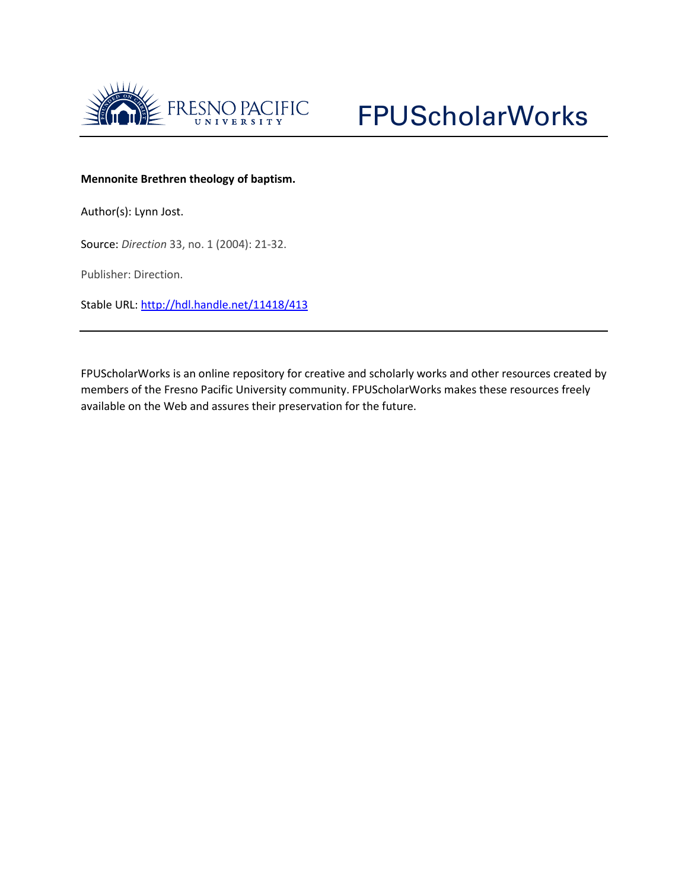



## **Mennonite Brethren theology of baptism.**

Author(s): Lynn Jost.

Source: *Direction* 33, no. 1 (2004): 21-32.

Publisher: Direction.

Stable URL:<http://hdl.handle.net/11418/413>

FPUScholarWorks is an online repository for creative and scholarly works and other resources created by members of the Fresno Pacific University community. FPUScholarWorks makes these resources freely available on the Web and assures their preservation for the future.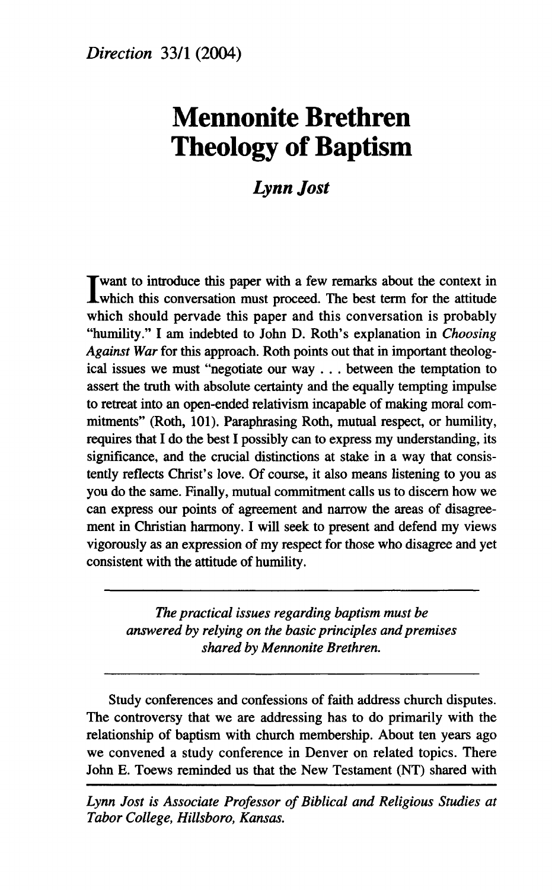# **Mennonite Brethren Theology of Baptism**

## *Lynn Jost*

I want to introduce this paper with a few remarks about the context in which this conversation must proceed. The best term for the attitude T want to introduce this paper with a few remarks about the context in which should pervade this paper and this conversation is probably "humility." I am indebted to John D. Roth's explanation in *Choosing Against War* for this approach. Roth points out that in important theological issues we must "negotiate our way . . . between the temptation to assert the truth with absolute certainty and the equally tempting impulse to retreat into an open-ended relativism incapable of making moral commitments" (Roth, 101). Paraphrasing Roth, mutual respect, or humility, requires that I do the best I possibly can to express my understanding, its significance, and the crucial distinctions at stake in a way that consistently reflects Christ's love. Of course, it also means listening to you as you do the same. Finally, mutual commitment calls us to discern how we can express our points of agreement and narrow the areas of disagreement in Christian harmony. I will seek to present and defend my views vigorously as an expression of my respect for those who disagree and yet consistent with the attitude of humility.

*The practical issues regarding baptism must be answered by relying on the basic principles and premises shared by Mennonite Brethren.* 

Study conferences and confessions of faith address church disputes. The controversy that we are addressing has to do primarily with the relationship of baptism with church membership. About ten years ago we convened a study conference in Denver on related topics. There John E. Toews reminded us that the New Testament (NT) shared with

*Lynn Jost is Associate Professor of Biblical and Religious Studies at Tabor College, Hillsboro, Kansas.*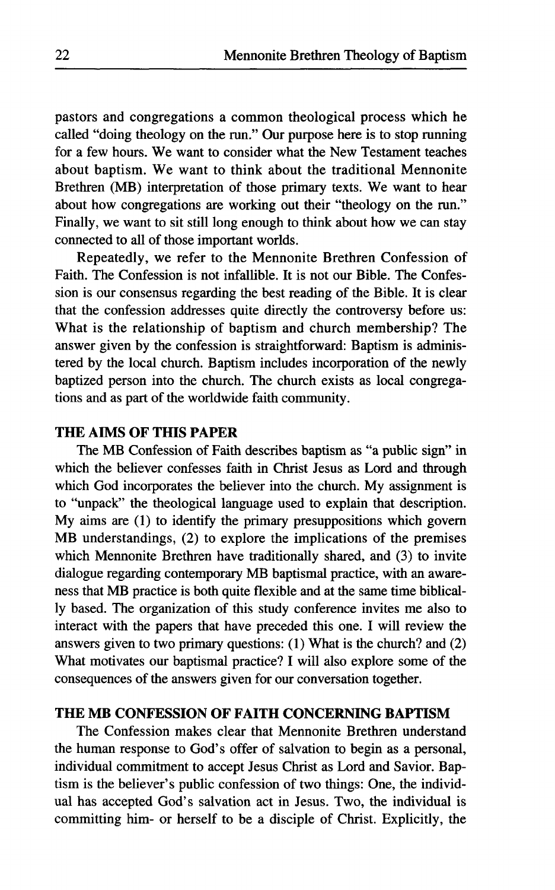pastors and congregations a common theological process which he called "doing theology on the run." Our purpose here is to stop running for a few hours. We want to consider what the New Testament teaches about baptism. We want to think about the traditional Mennonite Brethren (MB) interpretation of those primary texts. We want to hear about how congregations are working out their "theology on the run." Finally, we want to sit still long enough to think about how we can stay connected to all of those important worlds.

Repeatedly, we refer to the Mennonite Brethren Confession of Faith. The Confession is not infallible. It is not our Bible. The Confession is our consensus regarding the best reading of the Bible. It is clear that the confession addresses quite directly the controversy before us: What is the relationship of baptism and church membership? The answer given by the confession is straightforward: Baptism is administered by the local church. Baptism includes incorporation of the newly baptized person into the church. The church exists as local congregations and as part of the worldwide faith community.

## **THE AIMS OF THIS PAPER**

The MB Confession of Faith describes baptism as "a public sign" in which the believer confesses faith in Christ Jesus as Lord and through which God incorporates the believer into the church. My assignment is to "unpack" the theological language used to explain that description. My aims are (1) to identify the primary presuppositions which govern MB understandings, (2) to explore the implications of the premises which Mennonite Brethren have traditionally shared, and (3) to invite dialogue regarding contemporary MB baptismal practice, with an awareness that MB practice is both quite flexible and at the same time biblically based. The organization of this study conference invites me also to interact with the papers that have preceded this one. I will review the answers given to two primary questions: (1) What is the church? and (2) What motivates our baptismal practice? I will also explore some of the consequences of the answers given for our conversation together.

### **THE MB CONFESSION OF FAITH CONCERNING BAPTISM**

The Confession makes clear that Mennonite Brethren understand the human response to God's offer of salvation to begin as a personal, individual commitment to accept Jesus Christ as Lord and Savior. Baptism is the believer's public confession of two things: One, the individual has accepted God's salvation act in Jesus. Two, the individual is committing him- or herself to be a disciple of Christ. Explicitly, the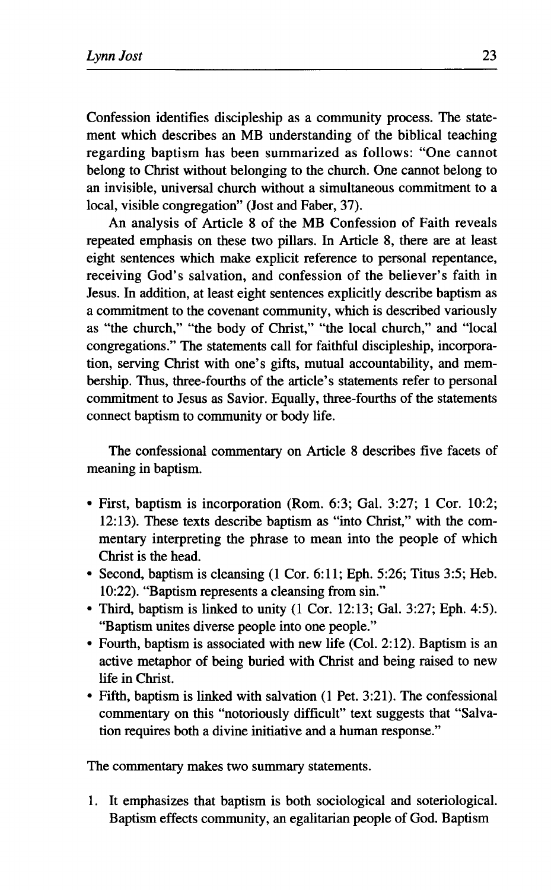Confession identifies discipleship as a community process. The statement which describes an MB understanding of the biblical teaching regarding baptism has been summarized as follows: "One cannot belong to Christ without belonging to the church. One cannot belong to an invisible, universal church without a simultaneous commitment to a local, visible congregation" (Jost and Faber, 37).

An analysis of Article 8 of the MB Confession of Faith reveals repeated emphasis on these two pillars. In Article 8, there are at least eight sentences which make explicit reference to personal repentance, receiving God's salvation, and confession of the believer's faith in Jesus. In addition, at least eight sentences explicitly describe baptism as a commitment to the covenant community, which is described variously as "the church," "the body of Christ," "the local church," and "local congregations." The statements call for faithful discipleship, incorporation, serving Christ with one's gifts, mutual accountability, and membership. Thus, three-fourths of the article's statements refer to personal commitment to Jesus as Savior. Equally, three-fourths of the statements connect baptism to community or body life.

The confessional commentary on Article 8 describes five facets of meaning in baptism.

- First, baptism is incorporation (Rom. 6:3; Gal. 3:27; 1 Cor. 10:2; 12:13). These texts describe baptism as "into Christ," with the commentary interpreting the phrase to mean into the people of which Christ is the head.
- Second, baptism is cleansing (1 Cor. 6:11; Eph. 5:26; Titus 3:5; Heb. 10:22). "Baptism represents a cleansing from sin."
- Third, baptism is linked to unity (1 Cor. 12:13; Gal. 3:27; Eph. 4:5). "Baptism unites diverse people into one people."
- Fourth, baptism is associated with new life (Col. 2:12). Baptism is an active metaphor of being buried with Christ and being raised to new life in Christ.
- Fifth, baptism is linked with salvation (1 Pet. 3:21). The confessional commentary on this "notoriously difficult" text suggests that "Salvation requires both a divine initiative and a human response."

The commentary makes two summary statements.

1. It emphasizes that baptism is both sociological and soteriological. Baptism effects community, an egalitarian people of God. Baptism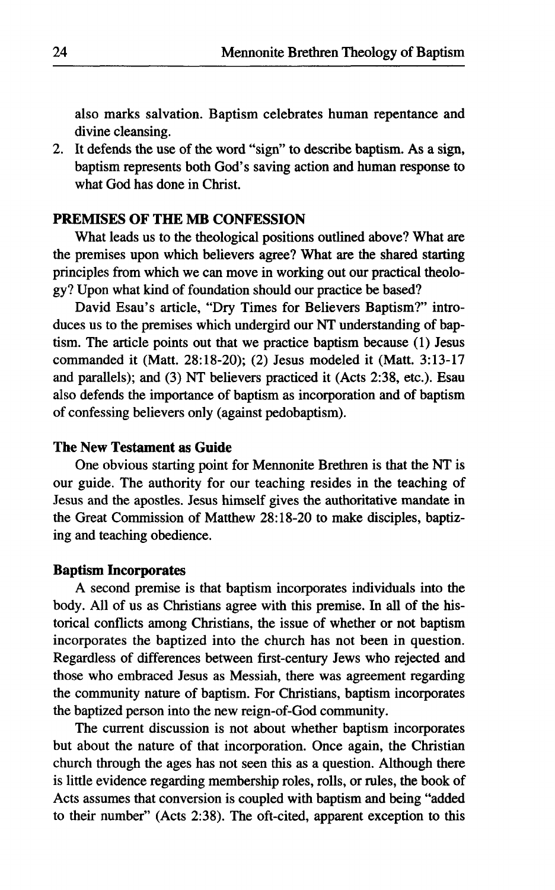also marks salvation. Baptism celebrates human repentance and divine cleansing.

2. It defends the use of the word "sign" to describe baptism. As a sign, baptism represents both God's saving action and human response to what God has done in Christ.

#### PREMISES OF **THE** MB CONFESSION

What leads us to the theological positions outlined above? What are the premises upon which believers agree? What are the shared starting principles from which we can move in working out our practical theology? Upon what kind of foundation should our practice be based?

David Esau's article, "Dry Times for Believers Baptism?" introduces us to the premises which undergird our NT understanding of baptism. The article points out that we practice baptism because (1) Jesus commanded it (Matt. 28:18-20); (2) Jesus modeled it (Matt. 3:13-17 and parallels); and (3) NT believers practiced it (Acts 2:38, etc.). Esau also defends the importance of baptism as incorporation and of baptism of confessing believers only (against pedobaptism).

#### **The New Testament as Guide**

One obvious starting point for Mennonite Brethren is that the NT is our guide. The authority for our teaching resides in the teaching of Jesus and the apostles. Jesus himself gives the authoritative mandate in the Great Commission of Matthew 28:18-20 to make disciples, baptizing and teaching obedience.

#### **Baptism Incorporates**

A second premise is that baptism incorporates individuals into the body. All of us as Christians agree with this premise. In all of the historical conflicts among Christians, the issue of whether or not baptism incorporates the baptized into the church has not been in question. Regardless of differences between first-century Jews who rejected and those who embraced Jesus as Messiah, there was agreement regarding the community nature of baptism. For Christians, baptism incorporates the baptized person into the new reign-of-God community.

The current discussion is not about whether baptism incorporates but about the nature of that incorporation. Once again, the Christian church through the ages has not seen this as a question. Although there is little evidence regarding membership roles, rolls, or rules, the book of Acts assumes that conversion is coupled with baptism and being "added to their number" (Acts 2:38). The oft-cited, apparent exception to this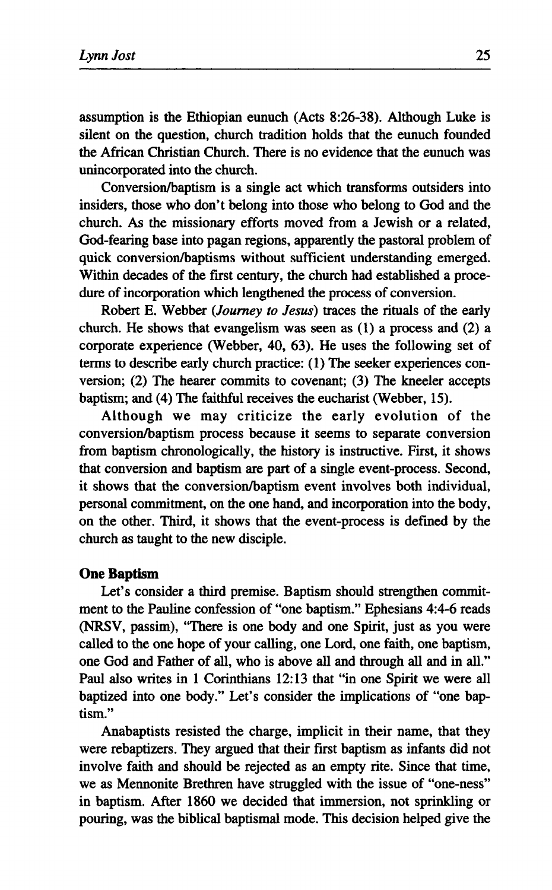assumption is the Ethiopian eunuch (Acts 8:26-38). Although Luke is silent on the question, church tradition holds that the eunuch founded the African Christian Church. There is no evidence that the eunuch was unincorporated into the church.

Conversion/baptism is a single act which transforms outsiders into insiders, those who don't belong into those who belong to God and the church. As the missionary efforts moved from a Jewish or a related, God-fearing base into pagan regions, apparently the pastoral problem of quick conversion/baptisms without sufficient understanding emerged. Within decades of the first century, the church had established a procedure of incorporation which lengthened the process of conversion.

Robert E. Webber *(Journey to Jesus)* traces the rituals of the early church. He shows that evangelism was seen as (1) a process and (2) a corporate experience (Webber, 40, 63). He uses the following set of terms to describe early church practice: (1) The seeker experiences conversion; (2) The hearer commits to covenant; (3) The kneeler accepts baptism; and (4) The faithful receives the eucharist (Webber, 15).

Although we may criticize the early evolution of the conversion/baptism process because it seems to separate conversion from baptism chronologically, the history is instructive. First, it shows that conversion and baptism are part of a single event-process. Second, it shows that the conversion/baptism event involves both individual, personal commitment, on the one hand, and incorporation into the body, on the other. Third, it shows that the event-process is defined by the church as taught to the new disciple.

#### **One Baptism**

Let's consider a third premise. Baptism should strengthen commitment to the Pauline confession of "one baptism." Ephesians 4:4-6 reads (NRSV, passim), "There is one body and one Spirit, just as you were called to the one hope of your calling, one Lord, one faith, one baptism, one God and Father of all, who is above all and through all and in all." Paul also writes in 1 Corinthians 12:13 that "in one Spirit we were all baptized into one body." Let's consider the implications of "one baptism."

Anabaptists resisted the charge, implicit in their name, that they were rebaptizers. They argued that their first baptism as infants did not involve faith and should be rejected as an empty rite. Since that time, we as Mennonite Brethren have struggled with the issue of "one-ness" in baptism. After 1860 we decided that immersion, not sprinkling or pouring, was the biblical baptismal mode. This decision helped give the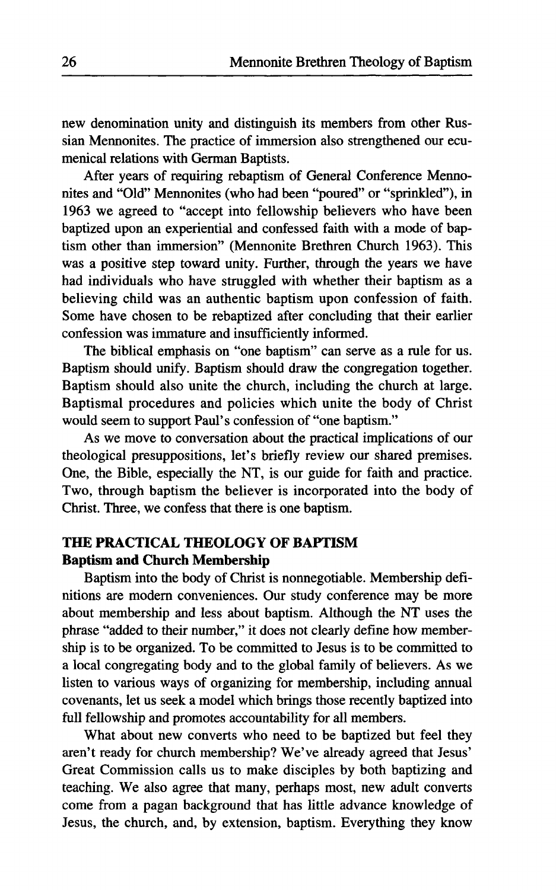new denomination unity and distinguish its members from other Russian Mennonites. The practice of immersion also strengthened our ecumenical relations with German Baptists.

After years of requiring rebaptism of General Conference Mennonites and "Old" Mennonites (who had been "poured" or "sprinkled"), in 1963 we agreed to "accept into fellowship believers who have been baptized upon an experiential and confessed faith with a mode of baptism other than immersion" (Mennonite Brethren Church 1963). This was a positive step toward unity. Further, through the years we have had individuals who have struggled with whether their baptism as a believing child was an authentic baptism upon confession of faith. Some have chosen to be rebaptized after concluding that their earlier confession was immature and insufficiently informed.

The biblical emphasis on "one baptism" can serve as a rule for us. Baptism should unify. Baptism should draw the congregation together. Baptism should also unite the church, including the church at large. Baptismal procedures and policies which unite the body of Christ would seem to support Paul's confession of "one baptism."

As we move to conversation about the practical implications of our theological presuppositions, let's briefly review our shared premises. One, the Bible, especially the NT, is our guide for faith and practice. Two, through baptism the believer is incorporated into the body of Christ. Three, we confess that there is one baptism.

## **THE PRACTICAL THEOLOGY OF BAPTISM Baptism and Church Membership**

Baptism into the body of Christ is nonnegotiable. Membership definitions are modern conveniences. Our study conference may be more about membership and less about baptism. Although the NT uses the phrase "added to their number," it does not clearly define how membership is to be organized. To be committed to Jesus is to be committed to a local congregating body and to the global family of believers. As we listen to various ways of organizing for membership, including annual covenants, let us seek a model which brings those recently baptized into full fellowship and promotes accountability for all members.

What about new converts who need to be baptized but feel they aren't ready for church membership? We've already agreed that Jesus' Great Commission calls us to make disciples by both baptizing and teaching. We also agree that many, perhaps most, new adult converts come from a pagan background that has little advance knowledge of Jesus, the church, and, by extension, baptism. Everything they know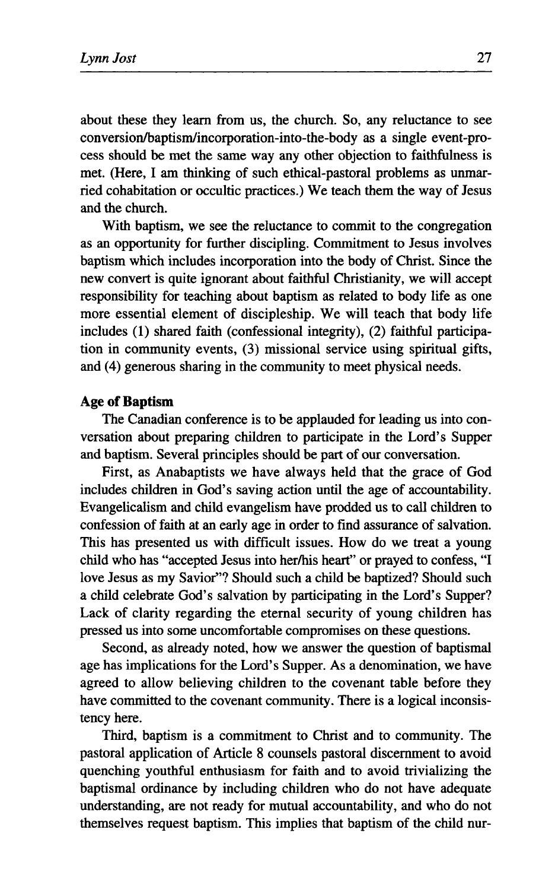about these they learn from us, the church. So, any reluctance to see conversion/baptism/incorporation-into-the-body as a single event-process should be met the same way any other objection to faithfulness is met. (Here, I am thinking of such ethical-pastoral problems as unmarried cohabitation or occultic practices.) We teach them the way of Jesus and the church.

With baptism, we see the reluctance to commit to the congregation as an opportunity for further discipling. Commitment to Jesus involves baptism which includes incorporation into the body of Christ. Since the new convert is quite ignorant about faithful Christianity, we will accept responsibility for teaching about baptism as related to body life as one more essential element of discipleship. We will teach that body life includes (1) shared faith (confessional integrity), (2) faithful participation in community events, (3) missional service using spiritual gifts, and (4) generous sharing in the community to meet physical needs.

#### **Age of Baptism**

The Canadian conference is to be applauded for leading us into conversation about preparing children to participate in the Lord's Supper and baptism. Several principles should be part of our conversation.

First, as Anabaptists we have always held that the grace of God includes children in God's saving action until the age of accountability. Evangelicalism and child evangelism have prodded us to call children to confession of faith at an early age in order to find assurance of salvation. This has presented us with difficult issues. How do we treat a young child who has "accepted Jesus into her/his heart" or prayed to confess, "I love Jesus as my Savior"? Should such a child be baptized? Should such a child celebrate God's salvation by participating in the Lord's Supper? Lack of clarity regarding the eternal security of young children has pressed us into some uncomfortable compromises on these questions.

Second, as already noted, how we answer the question of baptismal age has implications for the Lord's Supper. As a denomination, we have agreed to allow believing children to the covenant table before they have committed to the covenant community. There is a logical inconsistency here.

Third, baptism is a commitment to Christ and to community. The pastoral application of Article 8 counsels pastoral discernment to avoid quenching youthful enthusiasm for faith and to avoid trivializing the baptismal ordinance by including children who do not have adequate understanding, are not ready for mutual accountability, and who do not themselves request baptism. This implies that baptism of the child nur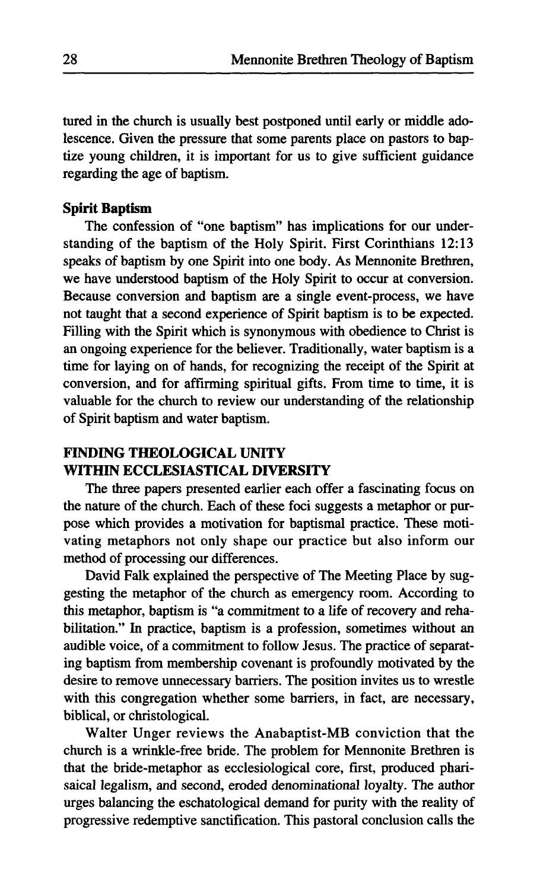tured in the church is usually best postponed until early or middle adolescence. Given the pressure that some parents place on pastors to baptize young children, it is important for us to give sufficient guidance regarding the age of baptism.

#### **Spirit Baptism**

The confession of "one baptism" has implications for our understanding of the baptism of the Holy Spirit. First Corinthians 12:13 speaks of baptism by one Spirit into one body. As Mennonite Brethren, we have understood baptism of the Holy Spirit to occur at conversion. Because conversion and baptism are a single event-process, we have not taught that a second experience of Spirit baptism is to be expected. Filling with the Spirit which is synonymous with obedience to Christ is an ongoing experience for the believer. Traditionally, water baptism is a time for laying on of hands, for recognizing the receipt of the Spirit at conversion, and for affirming spiritual gifts. From time to time, it is valuable for the church to review our understanding of the relationship of Spirit baptism and water baptism.

## **FINDING THEOLOGICAL UNITY WITHIN ECCLESIASTICAL DIVERSITY**

The three papers presented earlier each offer a fascinating focus on the nature of the church. Each of these foci suggests a metaphor or purpose which provides a motivation for baptismal practice. These motivating metaphors not only shape our practice but also inform our method of processing our differences.

David Falk explained the perspective of The Meeting Place by suggesting the metaphor of the church as emergency room. According to this metaphor, baptism is "a commitment to a life of recovery and rehabilitation." In practice, baptism is a profession, sometimes without an audible voice, of a commitment to follow Jesus. The practice of separating baptism from membership covenant is profoundly motivated by the desire to remove unnecessary barriers. The position invites us to wrestle with this congregation whether some barriers, in fact, are necessary, biblical, or christological.

Walter Unger reviews the Anabaptist-MB conviction that the church is a wrinkle-free bride. The problem for Mennonite Brethren is that the bride-metaphor as ecclesiological core, first, produced pharisaical legalism, and second, eroded denominational loyalty. The author urges balancing the eschatological demand for purity with the reality of progressive redemptive sanctification. This pastoral conclusion calls the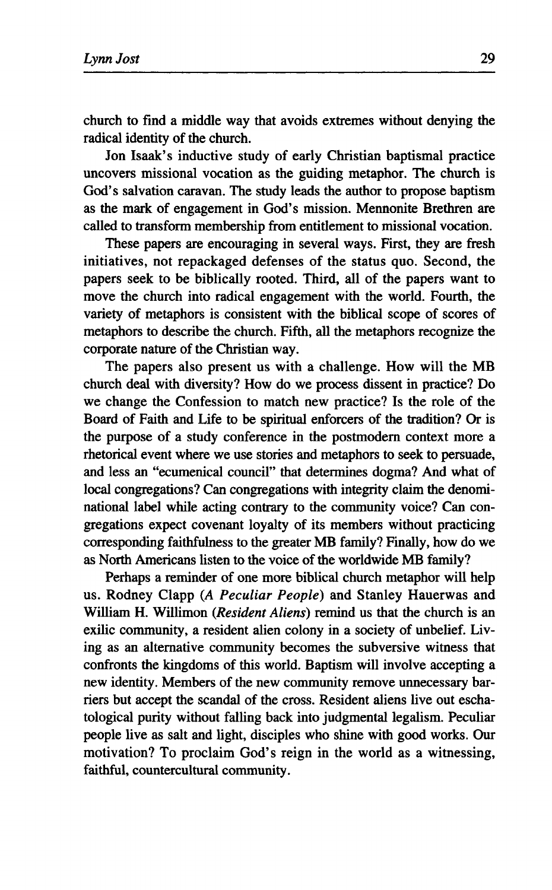**church to find a middle way that avoids extremes without denying the radical identity of the church.** 

**Jon Isaak's inductive study of early Christian baptismal practice uncovers missional vocation as the guiding metaphor. The church is God's salvation caravan. The study leads the author to propose baptism as the mark of engagement in God's mission. Mennonite Brethren are called to transform membership from entitlement to missional vocation.** 

**These papers are encouraging in several ways. First, they are fresh initiatives, not repackaged defenses of the status quo. Second, the papers seek to be biblically rooted. Third, all of the papers want to move the church into radical engagement with the world. Fourth, the variety of metaphors is consistent with the biblical scope of scores of metaphors to describe the church. Fifth, all the metaphors recognize the corporate nature of the Christian way.** 

**The papers also present us with a challenge. How will the MB church deal with diversity? How do we process dissent in practice? Do we change the Confession to match new practice? Is the role of the Board of Faith and Life to be spiritual enforcers of the tradition? Or is the purpose of a study conference in the postmodern context more a rhetorical event where we use stories and metaphors to seek to persuade, and less an "ecumenical council" that determines dogma? And what of local congregations? Can congregations with integrity claim the denominational label while acting contrary to the community voice? Can congregations expect covenant loyalty of its members without practicing corresponding faithfulness to the greater MB family? Finally, how do we as North Americans listen to the voice of the worldwide MB family?** 

**Perhaps a reminder of one more biblical church metaphor will help us. Rodney Clapp (A** *Peculiar People)* **and Stanley Hauerwas and William H. Willimon** *(Resident Aliens)* **remind us that the church is an exilic community, a resident alien colony in a society of unbelief. Living as an alternative community becomes the subversive witness that confronts the kingdoms of this world. Baptism will involve accepting a new identity. Members of the new community remove unnecessary barriers but accept the scandal of the cross. Resident aliens live out eschatological purity without falling back into judgmental legalism. Peculiar people live as salt and light, disciples who shine with good works. Our motivation? To proclaim God's reign in the world as a witnessing, faithful, countercultural community.**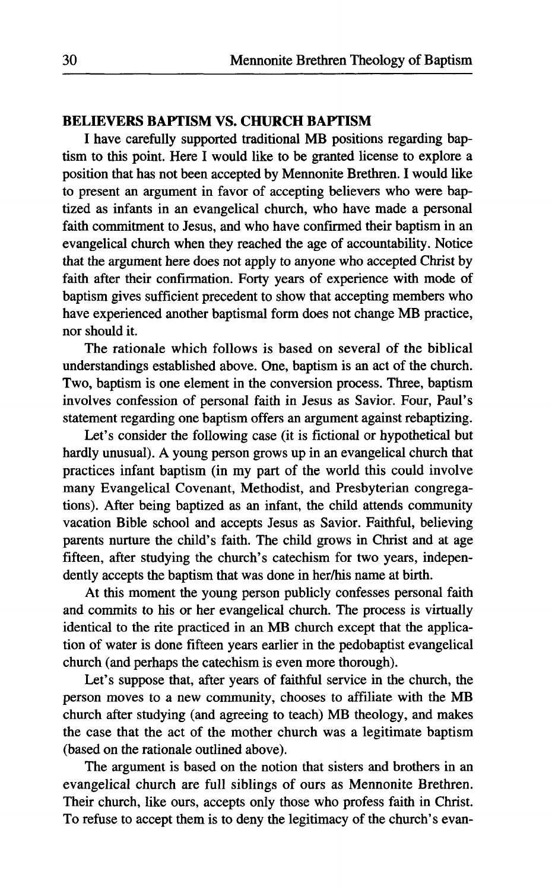## **BELIEVERS BAPTISM VS. CHURCH BAPTISM**

I have carefully supported traditional MB positions regarding baptism to this point. Here I would like to be granted license to explore a position that has not been accepted by Mennonite Brethren. I would like to present an argument in favor of accepting believers who were baptized as infants in an evangelical church, who have made a personal faith commitment to Jesus, and who have confirmed their baptism in an evangelical church when they reached the age of accountability. Notice that the argument here does not apply to anyone who accepted Christ by faith after their confirmation. Forty years of experience with mode of baptism gives sufficient precedent to show that accepting members who have experienced another baptismal form does not change MB practice, nor should it.

The rationale which follows is based on several of the biblical understandings established above. One, baptism is an act of the church. Two, baptism is one element in the conversion process. Three, baptism involves confession of personal faith in Jesus as Savior. Four, Paul's statement regarding one baptism offers an argument against rebaptizing.

Let's consider the following case (it is fictional or hypothetical but hardly unusual). A young person grows up in an evangelical church that practices infant baptism (in my part of the world this could involve many Evangelical Covenant, Methodist, and Presbyterian congregations). After being baptized as an infant, the child attends community vacation Bible school and accepts Jesus as Savior. Faithful, believing parents nurture the child's faith. The child grows in Christ and at age fifteen, after studying the church's catechism for two years, independently accepts the baptism that was done in her/his name at birth.

At this moment the young person publicly confesses personal faith and commits to his or her evangelical church. The process is virtually identical to the rite practiced in an MB church except that the application of water is done fifteen years earlier in the pedobaptist evangelical church (and perhaps the catechism is even more thorough).

Let's suppose that, after years of faithful service in the church, the person moves to a new community, chooses to affiliate with the MB church after studying (and agreeing to teach) MB theology, and makes the case that the act of the mother church was a legitimate baptism (based on the rationale outlined above).

The argument is based on the notion that sisters and brothers in an evangelical church are full siblings of ours as Mennonite Brethren. Their church, like ours, accepts only those who profess faith in Christ. To refuse to accept them is to deny the legitimacy of the church's evan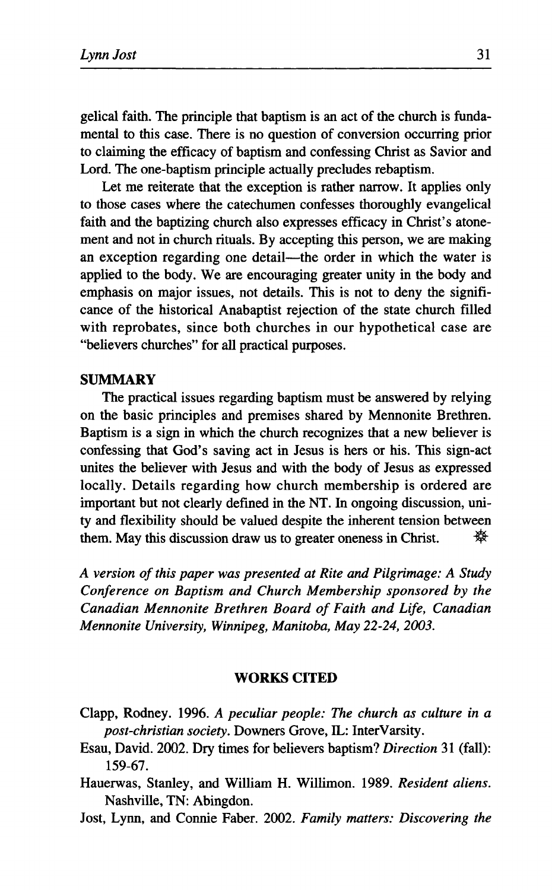gelical faith. The principle that baptism is an act of the church is fundamental to this case. There is no question of conversion occurring prior to claiming the efficacy of baptism and confessing Christ as Savior and Lord. The one-baptism principle actually precludes rebaptism.

Let me reiterate that the exception is rather narrow. It applies only to those cases where the catechumen confesses thoroughly evangelical faith and the baptizing church also expresses efficacy in Christ's atonement and not in church rituals. By accepting this person, we are making an exception regarding one detail—the order in which the water is applied to the body. We are encouraging greater unity in the body and emphasis on major issues, not details. This is not to deny the significance of the historical Anabaptist rejection of the state church filled with reprobates, since both churches in our hypothetical case are "believers churches" for all practical purposes.

#### **SUMMARY**

The practical issues regarding baptism must be answered by relying on the basic principles and premises shared by Mennonite Brethren. Baptism is a sign in which the church recognizes that a new believer is confessing that God's saving act in Jesus is hers or his. This sign-act unites the believer with Jesus and with the body of Jesus as expressed locally. Details regarding how church membership is ordered are important but not clearly defined in the NT. In ongoing discussion, unity and flexibility should be valued despite the inherent tension between them. May this discussion draw us to greater oneness in Christ.  $\mathbb{R}^{\mathbb{N}}$ 

*A version of this paper was presented at Rite and Pilgrimage: A Study Conference on Baptism and Church Membership sponsored by the Canadian Mennonite Brethren Board of Faith and Life, Canadian Mennonite University, Winnipeg, Manitoba, May 22-24, 2003.* 

#### **WORKS CITED**

- Clapp, Rodney. 1996. A *peculiar people: The church as culture in a post-christian society.* Downers Grove, IL: InterVarsity.
- Esau, David. 2002. Dry times for believers baptism? *Direction* 31 (fall): 159-67.
- Hauerwas, Stanley, and William H. Willimon. 1989. *Resident aliens.*  Nashville, TN: Abingdon.
- Jost, Lynn, and Connie Faber. 2002. *Family matters: Discovering the*